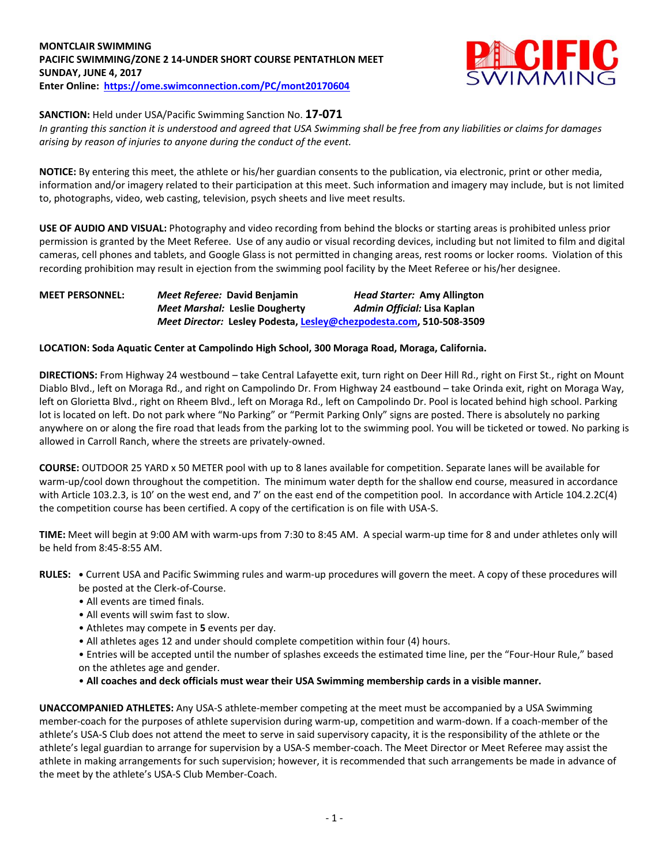#### **MONTCLAIR SWIMMING PACIFIC SWIMMING/ZONE 2 14-UNDER SHORT COURSE PENTATHLON MEET SUNDAY, JUNE 4, 2017 Enter Online: <https://ome.swimconnection.com/PC/mont20170604>**



#### **SANCTION:** Held under USA/Pacific Swimming Sanction No. **17-071**

*In granting this sanction it is understood and agreed that USA Swimming shall be free from any liabilities or claims for damages arising by reason of injuries to anyone during the conduct of the event.*

**NOTICE:** By entering this meet, the athlete or his/her guardian consents to the publication, via electronic, print or other media, information and/or imagery related to their participation at this meet. Such information and imagery may include, but is not limited to, photographs, video, web casting, television, psych sheets and live meet results.

**USE OF AUDIO AND VISUAL:** Photography and video recording from behind the blocks or starting areas is prohibited unless prior permission is granted by the Meet Referee. Use of any audio or visual recording devices, including but not limited to film and digital cameras, cell phones and tablets, and Google Glass is not permitted in changing areas, rest rooms or locker rooms. Violation of this recording prohibition may result in ejection from the swimming pool facility by the Meet Referee or his/her designee.

### **MEET PERSONNEL:** *Meet Referee:* **David Benjamin** *Head Starter:* **Amy Allington** *Meet Marshal:* **Leslie Dougherty** *Admin Official:* **Lisa Kaplan** *Meet Director:* **Lesley Podesta, [Lesley@chezpodesta.com,](mailto:Lesley@chezpodesta.com) 510-508-3509**

#### **LOCATION: Soda Aquatic Center at Campolindo High School, 300 Moraga Road, Moraga, California.**

**DIRECTIONS:** From Highway 24 westbound – take Central Lafayette exit, turn right on Deer Hill Rd., right on First St., right on Mount Diablo Blvd., left on Moraga Rd., and right on Campolindo Dr. From Highway 24 eastbound – take Orinda exit, right on Moraga Way, left on Glorietta Blvd., right on Rheem Blvd., left on Moraga Rd., left on Campolindo Dr. Pool is located behind high school. Parking lot is located on left. Do not park where "No Parking" or "Permit Parking Only" signs are posted. There is absolutely no parking anywhere on or along the fire road that leads from the parking lot to the swimming pool. You will be ticketed or towed. No parking is allowed in Carroll Ranch, where the streets are privately-owned.

**COURSE:** OUTDOOR 25 YARD x 50 METER pool with up to 8 lanes available for competition. Separate lanes will be available for warm-up/cool down throughout the competition. The minimum water depth for the shallow end course, measured in accordance with Article 103.2.3, is 10' on the west end, and 7' on the east end of the competition pool. In accordance with Article 104.2.2C(4) the competition course has been certified. A copy of the certification is on file with USA-S.

**TIME:** Meet will begin at 9:00 AM with warm-ups from 7:30 to 8:45 AM. A special warm-up time for 8 and under athletes only will be held from 8:45-8:55 AM.

- **RULES: •** Current USA and Pacific Swimming rules and warm-up procedures will govern the meet. A copy of these procedures will be posted at the Clerk-of-Course.
	- All events are timed finals.
	- All events will swim fast to slow.
	- Athletes may compete in **5** events per day.
	- All athletes ages 12 and under should complete competition within four (4) hours.
	- Entries will be accepted until the number of splashes exceeds the estimated time line, per the "Four-Hour Rule," based on the athletes age and gender.
	- **All coaches and deck officials must wear their USA Swimming membership cards in a visible manner.**

**UNACCOMPANIED ATHLETES:** Any USA-S athlete-member competing at the meet must be accompanied by a USA Swimming member-coach for the purposes of athlete supervision during warm-up, competition and warm-down. If a coach-member of the athlete's USA-S Club does not attend the meet to serve in said supervisory capacity, it is the responsibility of the athlete or the athlete's legal guardian to arrange for supervision by a USA-S member-coach. The Meet Director or Meet Referee may assist the athlete in making arrangements for such supervision; however, it is recommended that such arrangements be made in advance of the meet by the athlete's USA-S Club Member-Coach.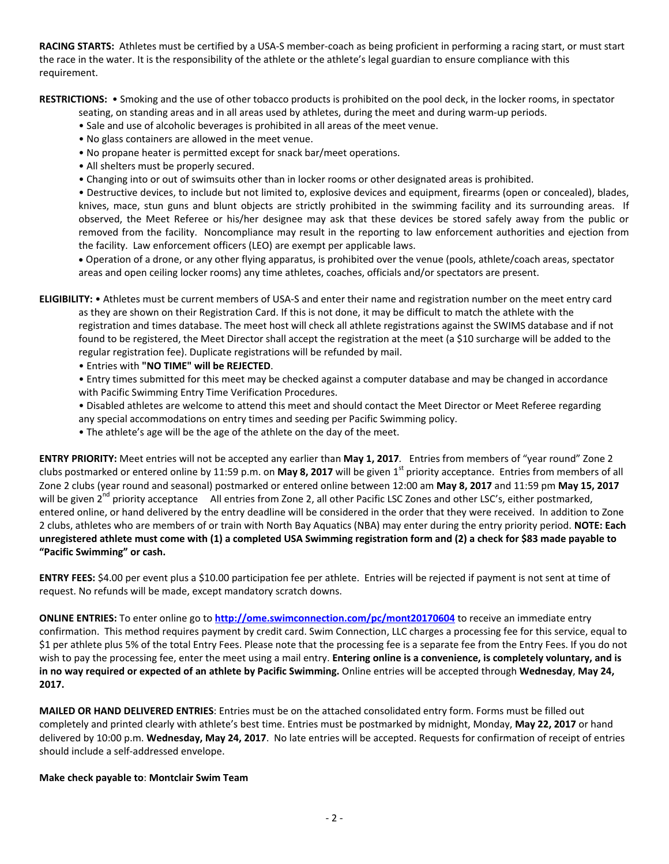**RACING STARTS:** Athletes must be certified by a USA-S member-coach as being proficient in performing a racing start, or must start the race in the water. It is the responsibility of the athlete or the athlete's legal guardian to ensure compliance with this requirement.

**RESTRICTIONS:** • Smoking and the use of other tobacco products is prohibited on the pool deck, in the locker rooms, in spectator

seating, on standing areas and in all areas used by athletes, during the meet and during warm-up periods.

- Sale and use of alcoholic beverages is prohibited in all areas of the meet venue.
- No glass containers are allowed in the meet venue.
- No propane heater is permitted except for snack bar/meet operations.
- All shelters must be properly secured.
- Changing into or out of swimsuits other than in locker rooms or other designated areas is prohibited.

• Destructive devices, to include but not limited to, explosive devices and equipment, firearms (open or concealed), blades, knives, mace, stun guns and blunt objects are strictly prohibited in the swimming facility and its surrounding areas. If observed, the Meet Referee or his/her designee may ask that these devices be stored safely away from the public or removed from the facility. Noncompliance may result in the reporting to law enforcement authorities and ejection from the facility. Law enforcement officers (LEO) are exempt per applicable laws.

 Operation of a drone, or any other flying apparatus, is prohibited over the venue (pools, athlete/coach areas, spectator areas and open ceiling locker rooms) any time athletes, coaches, officials and/or spectators are present.

**ELIGIBILITY:** • Athletes must be current members of USA-S and enter their name and registration number on the meet entry card as they are shown on their Registration Card. If this is not done, it may be difficult to match the athlete with the registration and times database. The meet host will check all athlete registrations against the SWIMS database and if not found to be registered, the Meet Director shall accept the registration at the meet (a \$10 surcharge will be added to the regular registration fee). Duplicate registrations will be refunded by mail.

• Entries with **"NO TIME" will be REJECTED**.

• Entry times submitted for this meet may be checked against a computer database and may be changed in accordance with Pacific Swimming Entry Time Verification Procedures.

- Disabled athletes are welcome to attend this meet and should contact the Meet Director or Meet Referee regarding any special accommodations on entry times and seeding per Pacific Swimming policy.
- The athlete's age will be the age of the athlete on the day of the meet.

**ENTRY PRIORITY:** Meet entries will not be accepted any earlier than **May 1, 2017***.* Entries from members of "year round" Zone 2 clubs postmarked or entered online by 11:59 p.m. on May 8, 2017 will be given 1<sup>st</sup> priority acceptance. Entries from members of all Zone 2 clubs (year round and seasonal) postmarked or entered online between 12:00 am **May 8, 2017** and 11:59 pm **May 15, 2017** will be given 2<sup>nd</sup> priority acceptance All entries from Zone 2, all other Pacific LSC Zones and other LSC's, either postmarked, entered online, or hand delivered by the entry deadline will be considered in the order that they were received. In addition to Zone 2 clubs, athletes who are members of or train with North Bay Aquatics (NBA) may enter during the entry priority period. **NOTE: Each unregistered athlete must come with (1) a completed USA Swimming registration form and (2) a check for \$83 made payable to "Pacific Swimming" or cash.**

**ENTRY FEES:** \$4.00 per event plus a \$10.00 participation fee per athlete. Entries will be rejected if payment is not sent at time of request. No refunds will be made, except mandatory scratch downs.

**ONLINE ENTRIES:** To enter online go to **<http://ome.swimconnection.com/pc/mont20170604>** to receive an immediate entry confirmation. This method requires payment by credit card. Swim Connection, LLC charges a processing fee for this service, equal to \$1 per athlete plus 5% of the total Entry Fees. Please note that the processing fee is a separate fee from the Entry Fees. If you do not wish to pay the processing fee, enter the meet using a mail entry. **Entering online is a convenience, is completely voluntary, and is in no way required or expected of an athlete by Pacific Swimming.** Online entries will be accepted through **Wednesday**, **May 24, 2017.**

**MAILED OR HAND DELIVERED ENTRIES**: Entries must be on the attached consolidated entry form. Forms must be filled out completely and printed clearly with athlete's best time. Entries must be postmarked by midnight, Monday, **May 22, 2017** or hand delivered by 10:00 p.m. **Wednesday, May 24, 2017**. No late entries will be accepted. Requests for confirmation of receipt of entries should include a self-addressed envelope.

#### **Make check payable to**: **Montclair Swim Team**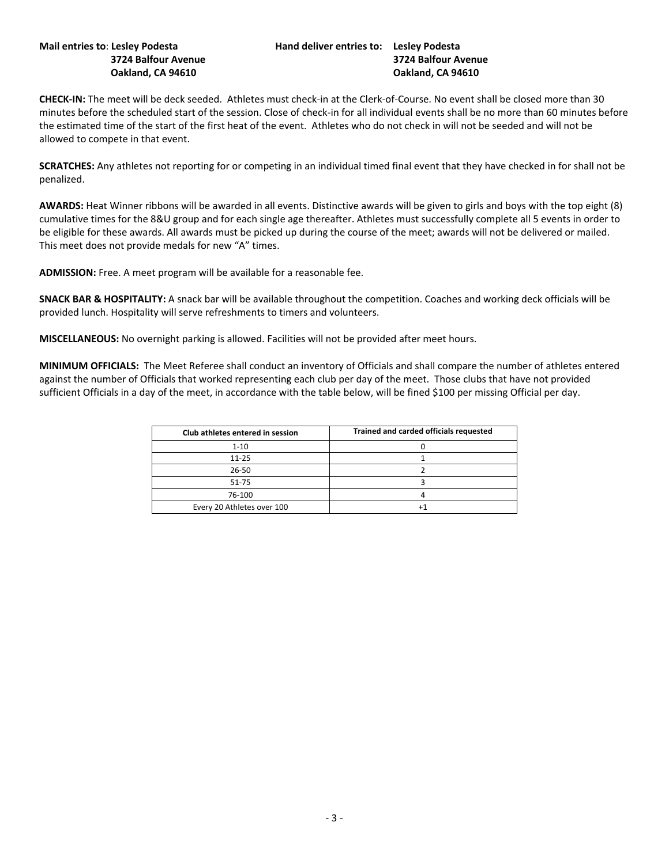**CHECK-IN:** The meet will be deck seeded. Athletes must check-in at the Clerk-of-Course. No event shall be closed more than 30 minutes before the scheduled start of the session. Close of check-in for all individual events shall be no more than 60 minutes before the estimated time of the start of the first heat of the event. Athletes who do not check in will not be seeded and will not be allowed to compete in that event.

**SCRATCHES:** Any athletes not reporting for or competing in an individual timed final event that they have checked in for shall not be penalized.

**AWARDS:** Heat Winner ribbons will be awarded in all events. Distinctive awards will be given to girls and boys with the top eight (8) cumulative times for the 8&U group and for each single age thereafter. Athletes must successfully complete all 5 events in order to be eligible for these awards. All awards must be picked up during the course of the meet; awards will not be delivered or mailed. This meet does not provide medals for new "A" times.

**ADMISSION:** Free. A meet program will be available for a reasonable fee.

**SNACK BAR & HOSPITALITY:** A snack bar will be available throughout the competition. Coaches and working deck officials will be provided lunch. Hospitality will serve refreshments to timers and volunteers.

**MISCELLANEOUS:** No overnight parking is allowed. Facilities will not be provided after meet hours.

**MINIMUM OFFICIALS:** The Meet Referee shall conduct an inventory of Officials and shall compare the number of athletes entered against the number of Officials that worked representing each club per day of the meet. Those clubs that have not provided sufficient Officials in a day of the meet, in accordance with the table below, will be fined \$100 per missing Official per day.

| Club athletes entered in session | Trained and carded officials requested |
|----------------------------------|----------------------------------------|
| $1 - 10$                         |                                        |
| $11 - 25$                        |                                        |
| $26 - 50$                        |                                        |
| $51 - 75$                        |                                        |
| 76-100                           |                                        |
| Every 20 Athletes over 100       |                                        |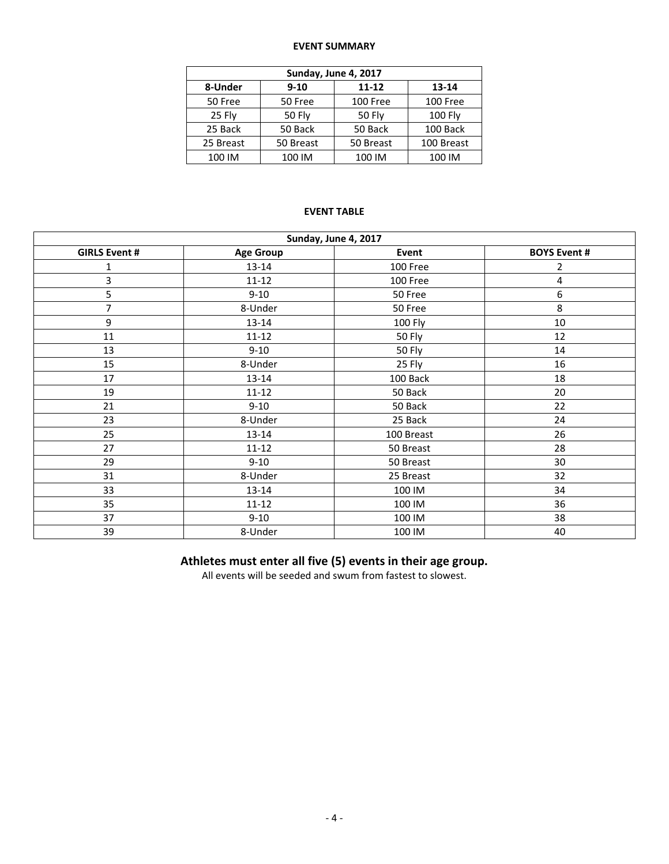#### **EVENT SUMMARY**

| Sunday, June 4, 2017 |               |               |                |  |  |  |  |
|----------------------|---------------|---------------|----------------|--|--|--|--|
| 8-Under              | $9 - 10$      | $11 - 12$     | 13-14          |  |  |  |  |
| 50 Free              | 50 Free       | 100 Free      | 100 Free       |  |  |  |  |
| 25 Fly               | <b>50 Fly</b> | <b>50 Fly</b> | <b>100 Fly</b> |  |  |  |  |
| 25 Back              | 50 Back       | 50 Back       | 100 Back       |  |  |  |  |
| 25 Breast            | 50 Breast     | 50 Breast     | 100 Breast     |  |  |  |  |
| 100 IM               | 100 IM        | 100 IM        | 100 IM         |  |  |  |  |

## **EVENT TABLE**

| Sunday, June 4, 2017 |                  |              |                     |  |  |  |  |
|----------------------|------------------|--------------|---------------------|--|--|--|--|
| <b>GIRLS Event #</b> | <b>Age Group</b> | <b>Event</b> | <b>BOYS Event #</b> |  |  |  |  |
| 1                    | 13-14            | 100 Free     | 2                   |  |  |  |  |
| 3                    | $11 - 12$        | 100 Free     | 4                   |  |  |  |  |
| 5                    | $9 - 10$         | 50 Free      | 6                   |  |  |  |  |
| 7                    | 8-Under          | 50 Free      | 8                   |  |  |  |  |
| 9                    | 13-14            | 100 Fly      | 10                  |  |  |  |  |
| 11                   | $11 - 12$        | 50 Fly       | 12                  |  |  |  |  |
| 13                   | $9 - 10$         | 50 Fly       | 14                  |  |  |  |  |
| 15                   | 8-Under          | 25 Fly       | 16                  |  |  |  |  |
| 17                   | $13 - 14$        | 100 Back     | 18                  |  |  |  |  |
| 19                   | $11 - 12$        | 50 Back      | 20                  |  |  |  |  |
| 21                   | $9 - 10$         | 50 Back      | 22                  |  |  |  |  |
| 23                   | 8-Under          | 25 Back      | 24                  |  |  |  |  |
| 25                   | 13-14            | 100 Breast   | 26                  |  |  |  |  |
| 27                   | $11 - 12$        | 50 Breast    | 28                  |  |  |  |  |
| 29                   | $9 - 10$         | 50 Breast    | 30                  |  |  |  |  |
| 31                   | 8-Under          | 25 Breast    | 32                  |  |  |  |  |
| 33                   | $13 - 14$        | 100 IM       | 34                  |  |  |  |  |
| 35                   | $11 - 12$        | 100 IM       | 36                  |  |  |  |  |
| 37                   | $9 - 10$         | 100 IM       | 38                  |  |  |  |  |
| 39                   | 8-Under          | 100 IM       | 40                  |  |  |  |  |

# **Athletes must enter all five (5) events in their age group.**

All events will be seeded and swum from fastest to slowest.